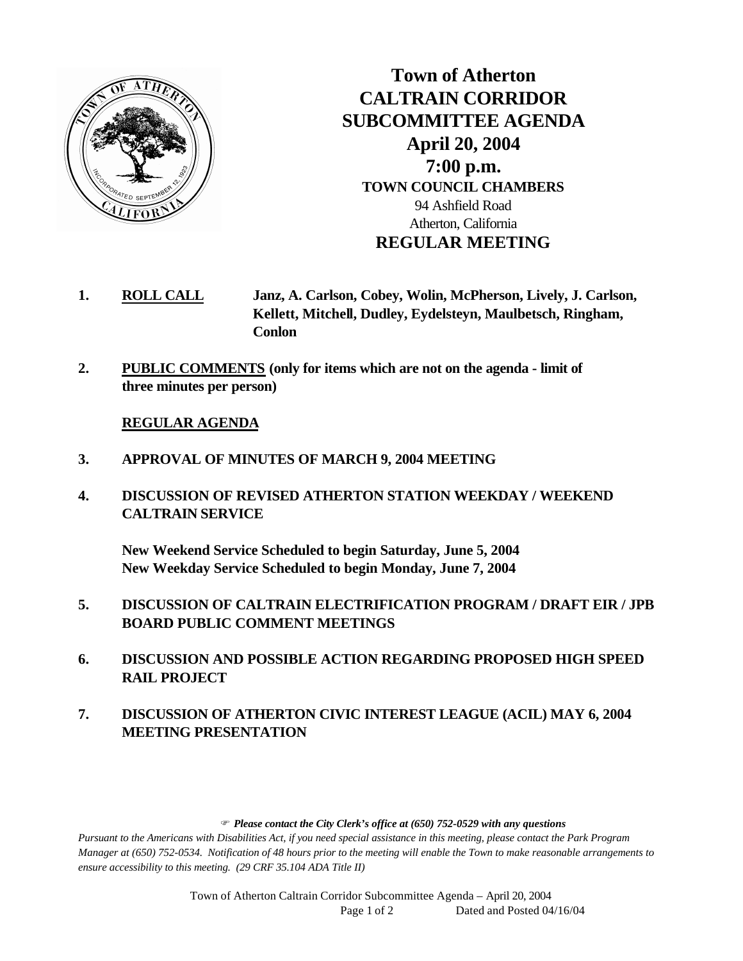

**Town of Atherton CALTRAIN CORRIDOR SUBCOMMITTEE AGENDA April 20, 2004 7:00 p.m. TOWN COUNCIL CHAMBERS** 94 Ashfield Road Atherton, California **REGULAR MEETING**

- **1. ROLL CALL Janz, A. Carlson, Cobey, Wolin, McPherson, Lively, J. Carlson, Kellett, Mitchell, Dudley, Eydelsteyn, Maulbetsch, Ringham, Conlon**
- **2. PUBLIC COMMENTS (only for items which are not on the agenda limit of three minutes per person)**

## **REGULAR AGENDA**

- **3. APPROVAL OF MINUTES OF MARCH 9, 2004 MEETING**
- **4. DISCUSSION OF REVISED ATHERTON STATION WEEKDAY / WEEKEND CALTRAIN SERVICE**

**New Weekend Service Scheduled to begin Saturday, June 5, 2004 New Weekday Service Scheduled to begin Monday, June 7, 2004**

- **5. DISCUSSION OF CALTRAIN ELECTRIFICATION PROGRAM / DRAFT EIR / JPB BOARD PUBLIC COMMENT MEETINGS**
- **6. DISCUSSION AND POSSIBLE ACTION REGARDING PROPOSED HIGH SPEED RAIL PROJECT**
- **7. DISCUSSION OF ATHERTON CIVIC INTEREST LEAGUE (ACIL) MAY 6, 2004 MEETING PRESENTATION**

## F *Please contact the City Clerk's office at (650) 752-0529 with any questions*

*Pursuant to the Americans with Disabilities Act, if you need special assistance in this meeting, please contact the Park Program Manager at (650) 752-0534. Notification of 48 hours prior to the meeting will enable the Town to make reasonable arrangements to ensure accessibility to this meeting. (29 CRF 35.104 ADA Title II)* 

> Town of Atherton Caltrain Corridor Subcommittee Agenda – April 20, 2004 Page 1 of 2 Dated and Posted 04/16/04